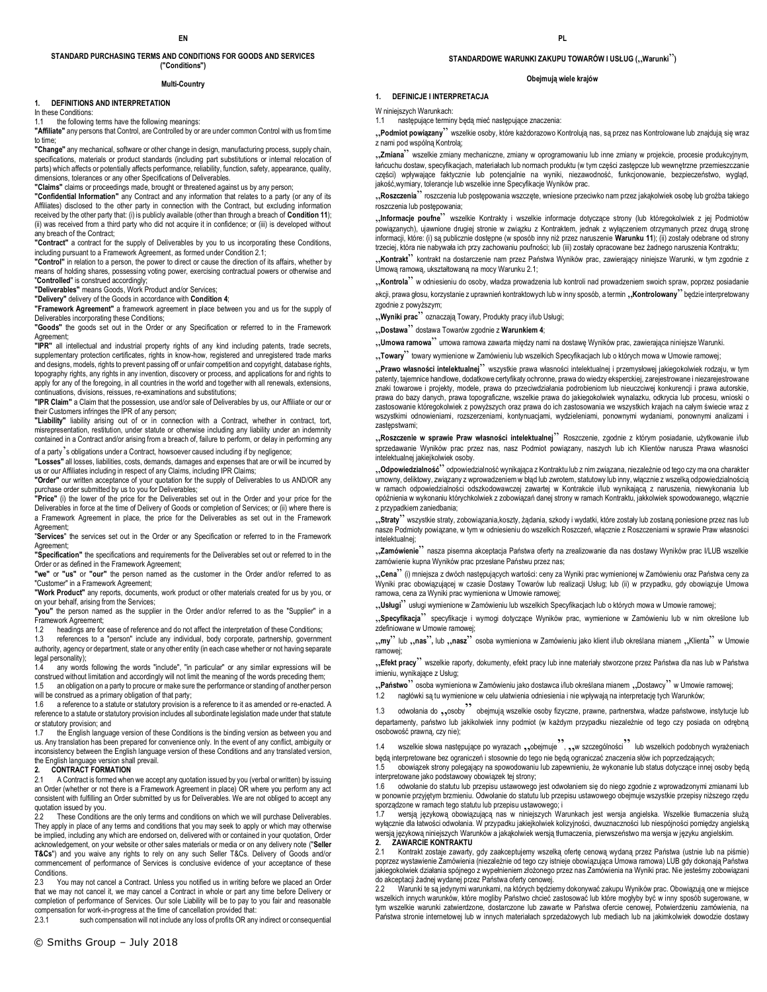#### **STANDARD PURCHASING TERMS AND CONDITIONS FOR GOODS AND SERVICES ("Conditions")**

#### **Multi-Country**

### **1. DEFINITIONS AND INTERPRETATION**

In these Conditions:

the following terms have the following meanings:

**"Affiliate"** any persons that Control, are Controlled by or are under common Control with us from time to time;

**"Change"** any mechanical, software or other change in design, manufacturing process, supply chain, specifications, materials or product standards (including part substitutions or internal relocation of parts) which affects or potentially affects performance, reliability, function, safety, appearance, quality, dimensions, tolerances or any other Specifications of Deliverables.

**"Claims"** claims or proceedings made, brought or threatened against us by any person;

**"Confidential Information"** any Contract and any information that relates to a party (or any of its Affiliates) disclosed to the other party in connection with the Contract, but excluding information received by the other party that: (i) is publicly available (other than through a breach of **Condition 11**); (ii) was received from a third party who did not acquire it in confidence; or (iii) is developed without any breach of the Contract;

**"Contract"** a contract for the supply of Deliverables by you to us incorporating these Conditions, including pursuant to a Framework Agreement, as formed under Condition 2.1;

**"Control"** in relation to a person, the power to direct or cause the direction of its affairs, whether by means of holding shares, possessing voting power, exercising contractual powers or otherwise and "**Controlled**" is construed accordingly;

**"Deliverables"** means Goods, Work Product and/or Services;

**"Delivery"** delivery of the Goods in accordance with **Condition 4**;

**"Framework Agreement"** a framework agreement in place between you and us for the supply of Deliverables incorporating these Conditions;

**"Goods"** the goods set out in the Order or any Specification or referred to in the Framework Agreement;

**"IPR"** all intellectual and industrial property rights of any kind including patents, trade secrets, supplementary protection certificates, rights in know-how, registered and unregistered trade marks and designs, models, rights to prevent passing off or unfair competition and copyright, database rights, topography rights, any rights in any invention, discovery or process, and applications for and rights to apply for any of the foregoing, in all countries in the world and together with all renewals, extensions, continuations, divisions, reissues, re-examinations and substitutions;

**"IPR Claim"** a Claim that the possession, use and/or sale of Deliverables by us, our Affiliate or our or their Customers infringes the IPR of any person;

**"Liability"** liability arising out of or in connection with a Contract, whether in contract, tort, misrepresentation, restitution, under statute or otherwise including any liability under an indemnity contained in a Contract and/or arising from a breach of, failure to perform, or delay in performing any of a party's obligations under a Contract, howsoever caused including if by negligence;

**"Losses"** all losses, liabilities, costs, demands, damages and expenses that are or will be incurred by us or our Affiliates including in respect of any Claims, including IPR Claims;

**"Order"** our written acceptance of your quotation for the supply of Deliverables to us AND/OR any purchase order submitted by us to you for Deliverables;

**"Price"** (i) the lower of the price for the Deliverables set out in the Order and your price for the Deliverables in force at the time of Delivery of Goods or completion of Services; or (ii) where there is a Framework Agreement in place, the price for the Deliverables as set out in the Framework Agreement;

"**Services**" the services set out in the Order or any Specification or referred to in the Framework Agreement;

**"Specification"** the specifications and requirements for the Deliverables set out or referred to in the Order or as defined in the Framework Agreement;

**"we"** or **"us"** or **"our"** the person named as the customer in the Order and/or referred to as "Customer" in a Framework Agreement;

**"Work Product"** any reports, documents, work product or other materials created for us by you, or on your behalf, arising from the Services;

**"you"** the person named as the supplier in the Order and/or referred to as the "Supplier" in a Framework Agreement;

1.2 headings are for ease of reference and do not affect the interpretation of these Conditions;<br>1.3 references to a "person" include any individual body corporate nartnership governme

1.3 references to a "person" include any individual, body corporate, partnership, government authority, agency or department, state or any other entity (in each case whether or not having separate legal personality);

any words following the words "include", "in particular" or any similar expressions will be construed without limitation and accordingly will not limit the meaning of the words preceding them;<br>15 an obligation on a party to procure or make sure the performance or standing of another person 1.5 an obligation on a party to procure or make sure the performance or standing of another person

will be construed as a primary obligation of that party;

1.6 a reference to a statute or statutory provision is a reference to it as amended or re-enacted. A reference to a statute or statutory provision includes all subordinate legislation made under that statute or statutory provision; and

1.7 the English language version of these Conditions is the binding version as between you and us. Any translation has been prepared for convenience only. In the event of any conflict, ambiguity or inconsistency between the English language version of these Conditions and any translated version, the English language version shall prevail.

# **2. CONTRACT FORMATION**<br>2.1 A Contract is formed when

A Contract is formed when we accept any quotation issued by you (verbal or written) by issuing an Order (whether or not there is a Framework Agreement in place) OR where you perform any act consistent with fulfilling an Order submitted by us for Deliverables. We are not obliged to accept any

quotation issued by you.<br>2.2 These Conditions These Conditions are the only terms and conditions on which we will purchase Deliverables. They apply in place of any terms and conditions that you may seek to apply or which may otherwise be implied, including any which are endorsed on, delivered with or contained in your quotation, Order acknowledgement, on your website or other sales materials or media or on any delivery note ("**Seller T&Cs**") and you waive any rights to rely on any such Seller T&Cs. Delivery of Goods and/or commencement of performance of Services is conclusive evidence of your acceptance of these Conditions.

2.3 You may not cancel a Contract. Unless you notified us in writing before we placed an Order that we may not cancel it, we may cancel a Contract in whole or part any time before Delivery or completion of performance of Services. Our sole Liability will be to pay to you fair and reasonable compensation for work-in-progress at the time of cancellation provided that:<br>2.3.1 such compensation will not include any loss of profits OR any

such compensation will not include any loss of profits OR any indirect or consequential

### **STANDARDOWE WARUNKI ZAKUPU TOWARÓW I USŁUG ("Warunki")**

#### **Obejmują wiele krajów**

### **1. DEFINICJE I INTERPRETACJA**

W niniejszych Warunkach:

1.1 następujące terminy będą mieć następujące znaczenia:

"**Podmiot powiązany**" wszelkie osoby, które każdorazowo Kontrolują nas, są przez nas Kontrolowane lub znajdują się wraz z nami pod wspólną Kontrolą;

"**Zmiana**" wszelkie zmiany mechaniczne, zmiany w oprogramowaniu lub inne zmiany w projekcie, procesie produkcyjnym, łańcuchu dostaw, specyfikacjach, materiałach lub normach produktu (w tym części zastępcze lub wewnętrzne przemieszczanie części) wpływające faktycznie lub potencjalnie na wyniki, niezawodność, funkcjonowanie, bezpieczeństwo, wygląd, jakość,wymiary, tolerancje lub wszelkie inne Specyfikacje Wyników prac.

"**Roszczenia**" roszczenia lub postępowania wszczęte, wniesione przeciwko nam przez jakąkolwiek osobę lub groźba takiego roszczenia lub postępowania;

"**Informacje poufne**" wszelkie Kontrakty i wszelkie informacje dotyczące strony (lub któregokolwiek z jej Podmiotów powiązanych), ujawnione drugiej stronie w związku z Kontraktem, jednak z wyłączeniem otrzymanych przez drugą stronę informacji, które: (i) są publicznie dostępne (w sposób inny niż przez naruszenie **Warunku 11**); (ii) zostały odebrane od strony trzeciej, która nie nabywała ich przy zachowaniu poufności; lub (iii) zostały opracowane bez żadnego naruszenia Kontraktu;

"**Kontrakt**" kontrakt na dostarczenie nam przez Państwa Wyników prac, zawierający niniejsze Warunki, w tym zgodnie z Umową ramową, ukształtowaną na mocy Warunku 2.1;

"**Kontrola**" w odniesieniu do osoby, władza prowadzenia lub kontroli nad prowadzeniem swoich spraw, poprzez posiadanie akcji, prawa głosu, korzystanie z uprawnień kontraktowych lub w inny sposób, a termin "Kontrolowany<sup>2</sup> będzie interpretowany zgodnie z powyższym;

"**Wyniki prac**" oznaczają Towary, Produkty pracy i/lub Usługi;

"**Dostawa**" dostawa Towarów zgodnie z **Warunkiem 4**;

"**Umowa ramowa**" umowa ramowa zawarta między nami na dostawę Wyników prac, zawierająca niniejsze Warunki.

"**Towary**" towary wymienione w Zamówieniu lub wszelkich Specyfikacjach lub o których mowa w Umowie ramowej;

"**Prawo własności intelektualnej**" wszystkie prawa własności intelektualnej i przemysłowej jakiegokolwiek rodzaju, w tym patenty, tajemnice handlowe, dodatkowe certyfikaty ochronne, prawa do wiedzy eksperckiej, zarejestrowane i niezarejestrowane znaki towarowe i projekty, modele, prawa do przeciwdziałania podrobieniom lub nieuczciwej konkurencji i prawa autorskie, prawa do bazy danych, prawa topograficzne, wszelkie prawa do jakiegokolwiek wynalazku, odkrycia lub procesu, wnioski o zastosowanie któregokolwiek z powyższych oraz prawa do ich zastosowania we wszystkich krajach na całym świecie wraz z wszystkimi odnowieniami, rozszerzeniami, kontynuacjami, wydzieleniami, ponownymi wydaniami, ponownymi analizami i zastępstwami;

"**Roszczenie w sprawie Praw własności intelektualnej**" Roszczenie, zgodnie z którym posiadanie, użytkowanie i/lub sprzedawanie Wyników prac przez nas, nasz Podmiot powiązany, naszych lub ich Klientów narusza Prawa własności intelektualnej jakiejkolwiek osoby.

"**Odpowiedzialność**" odpowiedzialność wynikająca z Kontraktu lub z nim związana, niezależnie od tego czy ma ona charakter umowny, deliktowy, związany z wprowadzeniem w błąd lub zwrotem, statutowy lub inny, włącznie z wszelką odpowiedzialnością w ramach odpowiedzialności odszkodowawczej zawartej w Kontrakcie i/lub wynikającą z naruszenia, niewykonania lub opóźnienia w wykonaniu którychkolwiek z zobowiązań danej strony w ramach Kontraktu, jakkolwiek spowodowanego, włącznie z przypadkiem zaniedbania;

"**Straty**" wszystkie straty, zobowiązania,koszty, żądania, szkody i wydatki, które zostały lub zostaną poniesione przez nas lub nasze Podmioty powiązane, w tym w odniesieniu do wszelkich Roszczeń, włącznie z Roszczeniami w sprawie Praw własności intelektualnej;

"**Zamówienie**" nasza pisemna akceptacja Państwa oferty na zrealizowanie dla nas dostawy Wyników prac I/LUB wszelkie zamówienie kupna Wyników prac przesłane Państwu przez nas;

"**Cena**" (i) mniejsza z dwóch następujących wartości: ceny za Wyniki prac wymienionej w Zamówieniu oraz Państwa ceny za Wyniki prac obowiązującej w czasie Dostawy Towarów lub realizacji Usług; lub (ii) w przypadku, gdy obowiązuje Umowa ramowa, cena za Wyniki prac wymieniona w Umowie ramowej;

"**Usługi**" usługi wymienione w Zamówieniu lub wszelkich Specyfikacjach lub o których mowa w Umowie ramowej;

"Specyfikacja<sup>2</sup> specyfikacje i wymogi dotyczące Wyników prac, wymienione w Zamówieniu lub w nim określone lub zdefiniowane w Umowie ramowej;

", my" lub ,,nas", lub ,,nasz" osoba wymieniona w Zamówieniu jako klient i/lub określana mianem ,,Klienta<sup>m</sup> w Umowie ramowej;

"**Efekt pracy**" wszelkie raporty, dokumenty, efekt pracy lub inne materiały stworzone przez Państwa dla nas lub w Państwa imieniu, wynikające z Usług;

"**Państwo**?" osoba wymieniona w Zamówieniu jako dostawca i/lub określana mianem ""Dostawcy" w Umowie ramowej;

1.2 nagłówki są tu wymienione w celu ułatwienia odniesienia i nie wpływają na interpretację tych Warunków;

1.3 odwołania do <sub>22</sub>, osoby" obejmują wszelkie osoby fizyczne, prawne, partnerstwa, władze państwowe, instytucje lub departamenty, państwo lub jakikolwiek inny podmiot (w każdym przypadku niezależnie od tego czy posiada on odrębną osobowość prawną, czy nie);

1.4 wszelkie słowa następujące po wyrazach , obejmuje", , , w szczególności lub wszelkich podobnych wyrażeniach będą interpretowane bez ograniczeń i stosownie do tego nie będą ograniczać znaczenia słów ich poprzedzających;

1.5 obowiązek strony polegający na spowodowaniu lub zapewnieniu, że wykonanie lub status dotyczące innej osoby będą interpretowane jako podstawowy obowiązek tej strony;

1.6 odwołanie do statutu lub przepisu ustawowego jest odwołaniem się do niego zgodnie z wprowadzonymi zmianami lub w ponownie przyjętym brzmieniu. Odwołanie do statutu lub przepisu ustawowego obejmuje wszystkie przepisy niższego rzędu sporządzone w ramach tego statutu lub przepisu ustawowego; i

1.7 wersją językową obowiązującą nas w niniejszych Warunkach jest wersja angielska. Wszelkie tłumaczenia służą wyłącznie dla łatwości odwołania. W przypadku jakiejkolwiek kolizyjności, dwuznaczności lub niespójności pomiędzy angielską wersją językową niniejszych Warunków a jakąkolwiek wersją tłumaczenia, pierwszeństwo ma wersja w języku angielskim.

### **2. ZAWARCIE KONTRAKTU**<br>2.1 Kontrakt zostaje zawarty.

2.1 Kontrakt zostaje zawarty, gdy zaakceptujemy wszelką ofertę cenową wydaną przez Państwa (ustnie lub na piśmie) poprzez wystawienie Zamówienia (niezależnie od tego czy istnieje obowiązująca Umowa ramowa) LUB gdy dokonają Państwa jakiegokolwiek działania spójnego z wypełnieniem złożonego przez nas Zamówienia na Wyniki prac. Nie jesteśmy zobowiązani do akceptacji żadnej wydanej przez Państwa oferty cenowej.

2.2 Warunki te są jedynymi warunkami, na których będziemy dokonywać zakupu Wyników prac. Obowiązują one w miejsce wszelkich innych warunków, które mogliby Państwo chcieć zastosować lub które mogłyby być w inny sposób sugerowane, w tym wszelkie warunki zatwierdzone, dostarczone lub zawarte w Państwa ofercie cenowej, Potwierdzeniu zamówienia, na Państwa stronie internetowej lub w innych materiałach sprzedażowych lub mediach lub na jakimkolwiek dowodzie dostawy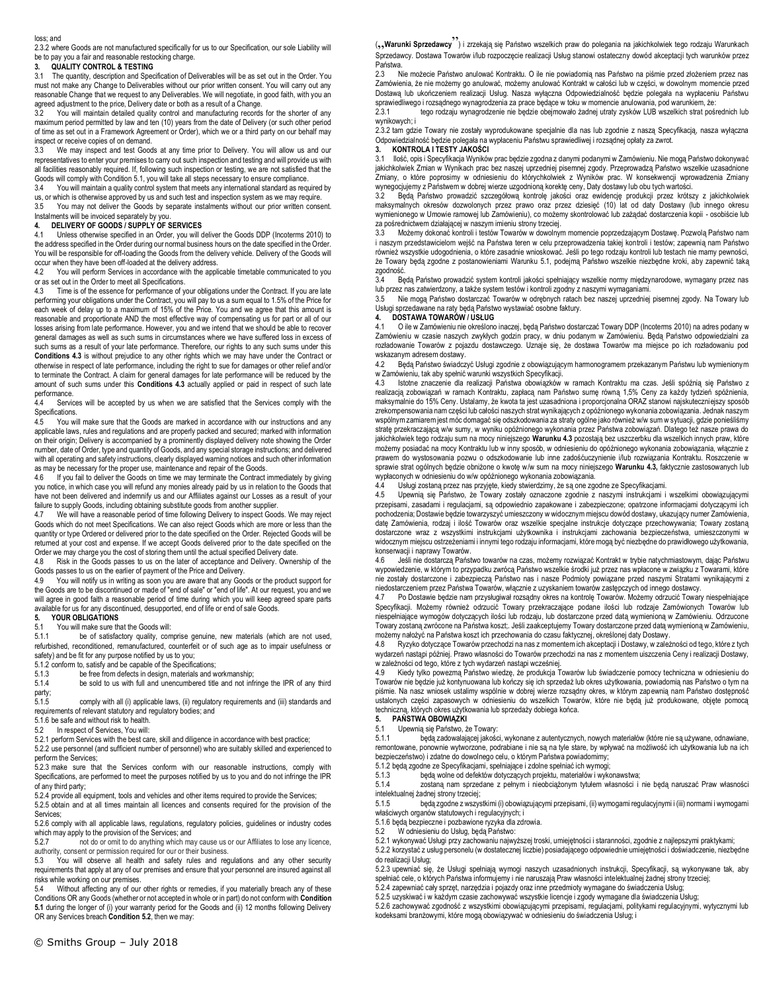#### loss; and

2.3.2 where Goods are not manufactured specifically for us to our Specification, our sole Liability will be to pay you a fair and reasonable restocking charge.

#### **3. QUALITY CONTROL & TESTING**

3.1 The quantity, description and Specification of Deliverables will be as set out in the Order. You must not make any Change to Deliverables without our prior written consent. You will carry out any reasonable Change that we request to any Deliverables. We will negotiate, in good faith, with you an agreed adjustment to the price, Delivery date or both as a result of a Change.

3.2 You will maintain detailed quality control and manufacturing records for the shorter of any maximum period permitted by law and ten (10) years from the date of Delivery (or such other period permitted by law and ten (10) years from the date of Delivery (or such other period of time as set out in a Framework Agreement or Order), which we or a third party on our behalf may inspect or receive copies of on demand.

3.3 We may inspect and test Goods at any time prior to Delivery. You will allow us and our representatives to enter your premises to carry out such inspection and testing and will provide us with all facilities reasonably required. If, following such inspection or testing, we are not satisfied that the Goods will comply with Condition 5.1, you will take all steps necessary to ensure compliance.

3.4 You will maintain a quality control system that meets any international standard as required by us, or which is otherwise approved by us and such test and inspection system as we may require.

3.5 You may not deliver the Goods by separate instalments without our prior written consent. Instalments will be invoiced separately by you.

# **4. DELIVERY OF GOODS / SUPPLY OF SERVICES**

4.1 Unless otherwise specified in an Order, you will deliver the Goods DDP (Incoterms 2010) to the address specified in the Order during our normal business hours on the date specified in the Order. You will be responsible for off-loading the Goods from the delivery vehicle. Delivery of the Goods will occur when they have been off-loaded at the delivery address.

4.2 You will perform Services in accordance with the applicable timetable communicated to you or as set out in the Order to meet all Specifications.<br>4.3 Time is of the essence for performance of y

Time is of the essence for performance of your obligations under the Contract. If you are late performing your obligations under the Contract, you will pay to us a sum equal to 1.5% of the Price for each week of delay up to a maximum of 15% of the Price. You and we agree that this amount is reasonable and proportionate AND the most effective way of compensating us for part or all of our losses arising from late performance. However, you and we intend that we should be able to recover general damages as well as such sums in circumstances where we have suffered loss in excess of such sums as a result of your late performance. Therefore, our rights to any such sums under this **Conditions 4.3** is without prejudice to any other rights which we may have under the Contract or otherwise in respect of late performance, including the right to sue for damages or other relief and/or to terminate the Contract. A claim for general damages for late performance will be reduced by the amount of such sums under this **Conditions 4.3** actually applied or paid in respect of such late performance.

4.4 Services will be accepted by us when we are satisfied that the Services comply with the Specifications.

4.5 You will make sure that the Goods are marked in accordance with our instructions and any applicable laws, rules and regulations and are properly packed and secured; marked with information on their origin; Delivery is accompanied by a prominently displayed delivery note showing the Order number, date of Order, type and quantity of Goods, and any special storage instructions; and delivered with all operating and safety instructions, clearly displayed warning notices and such other information as may be necessary for the proper use, maintenance and repair of the Goods.

4.6 If you fail to deliver the Goods on time we may terminate the Contract immediately by giving you notice, in which case you will refund any monies already paid by us in relation to the Goods that have not been delivered and indemnify us and our Affiliates against our Losses as a result of your failure to supply Goods, including obtaining substitute goods from another supplier.<br>4.7 We will have a reasonable period of time following Delivery to inspect Good

We will have a reasonable period of time following Delivery to inspect Goods. We may reject Goods which do not meet Specifications. We can also reject Goods which are more or less than the quantity or type Ordered or delivered prior to the date specified on the Order. Rejected Goods will be returned at your cost and expense. If we accept Goods delivered prior to the date specified on the Order we may charge you the cost of storing them until the actual specified Delivery date.

4.8 Risk in the Goods passes to us on the later of acceptance and Delivery. Ownership of the Goods passes to us on the earlier of payment of the Price and Delivery.

4.9 You will notify us in writing as soon you are aware that any Goods or the product support for the Goods are to be discontinued or made of "end of sale" or "end of life". At our request, you and we will agree in good faith a reasonable period of time during which you will keep agreed spare parts available for us for any discontinued, desupported, end of life or end of sale Goods.<br>5. YOUR OBLIGATIONS

### **5. YOUR OBLIGATIONS**

You will make sure that the Goods will:

5.1.1 be of satisfactory quality, comprise genuine, new materials (which are not used, refurbished, reconditioned, remanufactured, counterfeit or of such age as to impair usefulness or safety) and be fit for any purpose notified by us to you;

5.1.2 conform to, satisfy and be capable of the Specifications;<br>5.1.3 be free from defects in design, materials and w

5.1.3 be free from defects in design, materials and workmanship;<br>5.1.4 be sold to us with full and unencumbered title and not info

be sold to us with full and unencumbered title and not infringe the IPR of any third party;<br>5.1.5

5.1.5 comply with all (i) applicable laws, (ii) regulatory requirements and (iii) standards and requirements of relevant statutory and regulatory bodies; and

5.1.6 be safe and without risk to health.

5.2 In respect of Services, You will:

5.2.1 perform Services with the best care, skill and diligence in accordance with best practice; 5.2.2 use personnel (and sufficient number of personnel) who are suitably skilled and experienced to perform the Services;

5.2.3 make sure that the Services conform with our reasonable instructions, comply with Specifications, are performed to meet the purposes notified by us to you and do not infringe the IPR of any third party;

5.2.4 provide all equipment, tools and vehicles and other items required to provide the Services;

5.2.5 obtain and at all times maintain all licences and consents required for the provision of the Services;

5.2.6 comply with all applicable laws, regulations, regulatory policies, guidelines or industry codes which may apply to the provision of the Services; and<br>5.2.7 mot do or omit to do anything which may

not do or omit to do anything which may cause us or our Affiliates to lose any licence, authority, consent or permission required for our or their business.<br>5.3. You will observe all health and safety rules and rec

5.3 You will observe all health and safety rules and regulations and any other security requirements that apply at any of our premises and ensure that your personnel are insured against all risks while working on our premises.

5.4 Without affecting any of our other rights or remedies, if you materially breach any of these Conditions OR any Goods (whether or not accepted in whole or in part) do not conform with **Condition 5.1** during the longer of (i) your warranty period for the Goods and (ii) 12 months following Delivery OR any Services breach **Condition 5.2**, then we may:

("**Warunki Sprzedawcy**") i zrzekają się Państwo wszelkich praw do polegania na jakichkolwiek tego rodzaju Warunkach Sprzedawcy. Dostawa Towarów i/lub rozpoczęcie realizacji Usług stanowi ostateczny dowód akceptacji tych warunków przez Państwa.

2.3 Nie możecie Państwo anulować Kontraktu. O ile nie powiadomią nas Państwo na piśmie przed złożeniem przez nas Zamówienia, że nie możemy go anulować, możemy anulować Kontrakt w całości lub w części, w dowolnym momencie przed Dostawą lub ukończeniem realizacji Usług. Nasza wyłączna Odpowiedzialność będzie polegała na wypłaceniu Państwu sprawiedliwego i rozsądnego wynagrodzenia za prace będące w toku w momencie anulowania, pod warunkiem, że:

2.3.1 tego rodzaju wynagrodzenie nie będzie obejmowało żadnej utraty zysków LUB wszelkich strat pośrednich lub wynikowych; i

2.3.2 tam gdzie Towary nie zostały wyprodukowane specjalnie dla nas lub zgodnie z naszą Specyfikacją, nasza wyłączna Odpowiedzialność będzie polegała na wypłaceniu Państwu sprawiedliwej i rozsądnej opłaty za zwrot.

# **3. KONTROLA I TESTY JAKOŚCI**

3.1 Ilość, opis i Specyfikacja Wyników prac będzie zgodna z danymi podanymi w Zamówieniu. Nie mogą Państwo dokonywać jakichkolwiek Zmian w Wynikach prac bez naszej uprzedniej pisemnej zgody. Przeprowadzą Państwo wszelkie uzasadnione Zmiany, o które poprosimy w odniesieniu do którychkolwiek z Wyników prac. W konsekwencji wprowadzenia Zmiany wynegocjujemy z Państwem w dobrej wierze uzgodnioną korektę ceny, Daty dostawy lub obu tych wartości.

3.2 Będą Państwo prowadzić szczegółową kontrolę jakości oraz ewidencję produkcji przez krótszy z jakichkolwiek maksymalnych okresów dozwolonych przez prawo oraz przez dziesięć (10) lat od daty Dostawy (lub innego okresu wymienionego w Umowie ramowej lub Zamówieniu), co możemy skontrolować lub zażądać dostarczenia kopii - osobiście lub za pośrednictwem działającej w naszym imieniu strony trzeciej.

3.3 Możemy dokonać kontroli i testów Towarów w dowolnym momencie poprzedzającym Dostawę. Pozwolą Państwo nam i naszym przedstawicielom wejść na Państwa teren w celu przeprowadzenia takiej kontroli i testów; zapewnią nam Państwo<br>również wszystkie udogodnienia, o które zasadnie wnioskować. Jeśli po tego rodzaju kontroli lub testach że Towary będą zgodne z postanowieniami Warunku 5.1, podejmą Państwo wszelkie niezbędne kroki, aby zapewnić taką zgodność.

3.4 Będą Państwo prowadzić system kontroli jakości spełniający wszelkie normy międzynarodowe, wymagany przez nas lub przez nas zatwierdzony, a także system testów i kontroli zgodny z naszymi wymaganiami.

3.5 Nie mogą Państwo dostarczać Towarów w odrębnych ratach bez naszej uprzedniej pisemnej zgody. Na Towary lub Usługi sprzedawane na raty będą Państwo wystawiać osobne faktury.<br>4. DOSTAWA TOWARÓW / USŁUG

### **4. DOSTAWA TOWARÓW / USŁUG**

4.1 O ile w Zamówieniu nie określono inaczej, będą Państwo dostarczać Towary DDP (Incoterms 2010) na adres podany w Zamówieniu w czasie naszych zwykłych godzin pracy, w dniu podanym w Zamówieniu. Będą Państwo odpowiedzialni za rozładowanie Towarów z pojazdu dostawczego. Uznaje się, że dostawa Towarów ma miejsce po ich rozładowaniu pod wskazanym adresem dostawy.<br>42 Beda Państwo świadcz

Będą Państwo świadczyć Usługi zgodnie z obowiązującym harmonogramem przekazanym Państwu lub wymienionym w Zamówieniu, tak aby spełnić warunki wszystkich Specyfikacji.

4.3 Istotne znaczenie dla realizacji Państwa obowiązków w ramach Kontraktu ma czas. Jeśli spóźnią się Państwo z realizacją zobowiązań w ramach Kontraktu, zapłacą nam Państwo sumę równą 1,5% Ceny za każdy tydzień spóźnienia, maksymalnie do 15% Ceny. Ustalamy, że kwota ta jest uzasadniona i proporcjonalna ORAZ stanowi najskuteczniejszy sposób<br>zrekompensowania nam części lub całości naszych strat wynikających z opóźnionego wykonania zobowiązania wspólnym zamiarem jest móc domagać się odszkodowania za straty ogólne jako również w/w sum w sytuacji, gdzie ponieśliśmy stratę przekraczającą w/w sumy, w wyniku opóźnionego wykonania przez Państwa zobowiązań. Dlatego też nasze prawa do jakichkolwiek tego rodzaju sum na mocy niniejszego **Warunku 4.3** pozostają bez uszczerbku dla wszelkich innych praw, które możemy posiadać na mocy Kontraktu lub w inny sposób, w odniesieniu do opóźnionego wykonania zobowiązania, włącznie z prawem do wystosowania pozwu o odszkodowanie lub inne zadośćuczynienie i/lub rozwiązania Kontraktu. Roszczenie w sprawie strat ogólnych będzie obniżone o kwotę w/w sum na mocy niniejszego **Warunku 4.3,** faktycznie zastosowanych lub wypłaconych w odniesieniu do w/w opóźnionego wykonania zobowiązania.

4.4 Usługi zostaną przez nas przyjęte, kiedy stwierdzimy, że są one zgodne ze Specyfikacjami.<br>4.5 Ulnewnia się Państwo ze Towary zostały oznaczone zgodnie z naszymi instrukcjami.

4.5 Upewnią się Państwo, że Towary zostały oznaczone zgodnie z naszymi instrukcjami i wszelkimi obowiązującymi przepisami, zasadami i regulacjami, są odpowiednio zapakowane i zabezpieczone; opatrzone informacjami dotyczącymi ich pochodzenia; Dostawie będzie towarzyszyć umieszczony w widocznym miejscu dowód dostawy, ukazujący numer Zamówienia, datę Zamówienia, rodzaj i ilość Towarów oraz wszelkie specjalne instrukcje dotyczące przechowywania; Towary zostaną dostarczone wraz z wszystkimi instrukcjami użytkownika i instrukcjami zachowania bezpieczeństwa, umieszczonymi w widocznym miejscu ostrzeżeniami i innymi tego rodzaju informacjami, które mogą być niezbędne do prawidłowego użytkowania, konserwacji i naprawy Towarów.

4.6 – Jeśli nie dostarczą Państwo towarów na czas, możemy rozwiązać Kontrakt w trybie natychmiastowym, dając Państwu<br>wypowiedzenie, w którym to przypadku zwrócą Państwo wszelkie środki już przez nas wpłacone w związku z To nie zostały dostarczone i zabezpieczą Państwo nas i nasze Podmioty powiązane przed naszymi Stratami wynikającymi z niedostarczeniem przez Państwa Towarów, włącznie z uzyskaniem towarów zastępczych od innego dostawcy.

4.7 Po Dostawie będzie nam przysługiwał rozsądny okres na kontrolę Towarów. Możemy odrzucić Towary niespełniające Specyfikacji. Możemy również odrzucić Towary przekraczające podane ilości lub rodzaje Zamówionych Towarów lub niespełniające wymogów dotyczących ilości lub rodzaju, lub dostarczone przed datą wymienioną w Zamówieniu. Odrzucone Towary zostaną zwrócone na Państwa koszt;. Jeśli zaakceptujemy Towary dostarczone przed datą wymienioną w Zamówieniu, możemy nałożyć na Państwa koszt ich przechowania do czasu faktycznej, określonej daty Dostawy.

4.8 Ryzyko dotyczące Towarów przechodzi na nas z momentem ich akceptacji i Dostawy, w zależności od tego, które z tych wydarzeń nastąpi później. Prawo własności do Towarów przechodzi na nas z momentem uiszczenia Ceny i realizacji Dostawy, w zależności od tego, które z tych wydarzeń nastąpi wcześniej.

4.9 Kiedy tylko powezmą Państwo wiedzę, że produkcja Towarów lub świadczenie pomocy techniczna w odniesieniu do Towarów nie będzie już kontynuowana lub kończy się ich sprzedaż lub okres użytkowania, powiadomią nas Państwo o tym na piśmie. Na nasz wniosek ustalimy wspólnie w dobrej wierze rozsądny okres, w którym zapewnią nam Państwo dostępność ustalonych części zapasowych w odniesieniu do wszelkich Towarów, które nie będą już produkowane, objęte pomocą techniczną, których okres użytkowania lub sprzedaży dobiega końca.

### **5. PAŃSTWA OBOWIĄZKI**

### 5.1 Upewnią się Państwo, że Towary:

5.1.1 będą zadowalającej jakości, wykonane z autentycznych, nowych materiałów (które nie są używane, odnawiane, remontowane, ponownie wytworzone, podrabiane i nie są na tyle stare, by wpływać na możliwość ich użytkowania lub na ich bezpieczeństwo) i zdatne do dowolnego celu, o którym Państwa powiadomimy;

5.1.2 będą zgodne ze Specyfikacjami, spełniające i zdolne spełniać ich wymogi;

5.1.3 będą wolne od defektów dotyczących projektu, materiałów i wykonawstwa;

5.1.4 zostaną nam sprzedane z pełnym i nieobciążonym tytułem własności i nie będą naruszać Praw własności intelektualnej żadnej strony trzeciej;

5.1.5 będą zgodne z wszystkimi (i) obowiązującymi przepisami, (ii) wymogami regulacyjnymi i (iii) normami i wymogami właściwych organów statutowych i regulacyjnych; i

5.1.6 będą bezpieczne i pozbawione ryzyka dla zdrowia.

5.2 W odniesieniu do Usług, będą Państwo:

5.2.1 wykonywać Usługi przy zachowaniu najwyższej troski, umiejętności i staranności, zgodnie z najlepszymi praktykami;

5.2.2 korzystać z usług personelu (w dostatecznej liczbie) posiadającego odpowiednie umiejętności i doświadczenie, niezbędne do realizacji Usług;

5.2.3 upewniać się, że Usługi spełniają wymogi naszych uzasadnionych instrukcji, Specyfikacji, są wykonywane tak, aby spełniać cele, o których Państwa informujemy i nie naruszają Praw własności intelektualnej żadnej strony trzeciej;

5.2.4 zapewniać cały sprzęt, narzędzia i pojazdy oraz inne przedmioty wymagane do świadczenia Usług;

5.2.5 uzyskiwać i w każdym czasie zachowywać wszystkie licencje i zgody wymagane dla świadczenia Usług;

5.2.6 zachowywać zgodność z wszystkimi obowiązującymi przepisami, regulacjami, politykami regulacyjnymi, wytycznymi lub kodeksami branżowymi, które mogą obowiązywać w odniesieniu do świadczenia Usług; i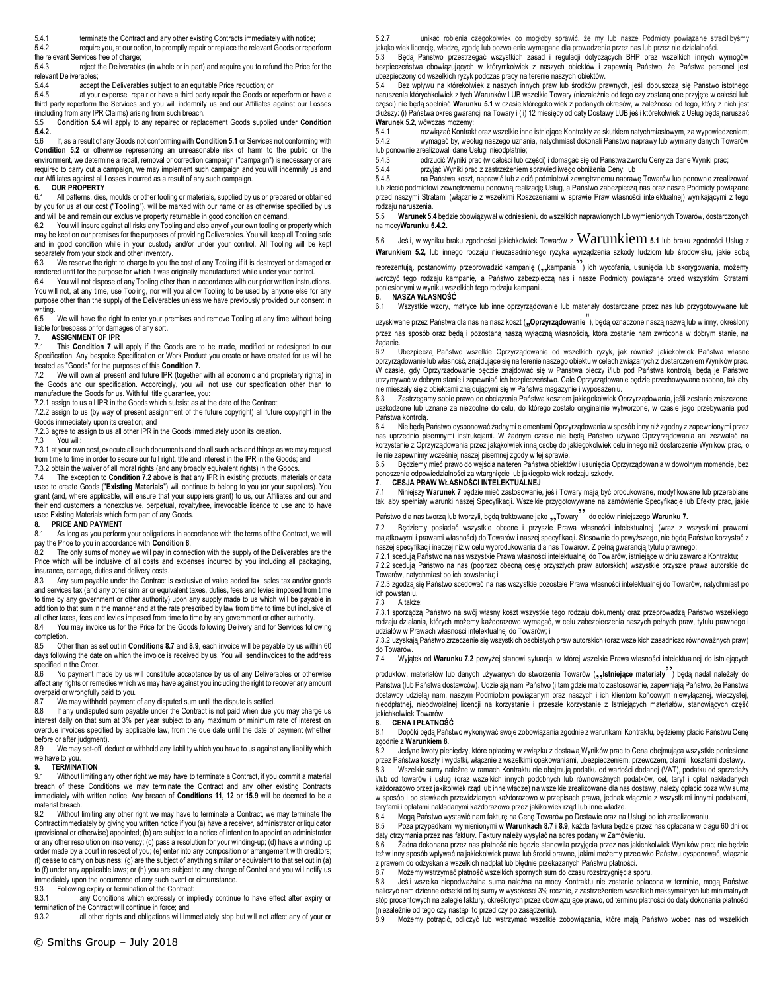5.4.1 terminate the Contract and any other existing Contracts immediately with notice;

5.4.2 require you, at our option, to promptly repair or replace the relevant Goods or reperform the relevant Services free of charge;<br>5.4.3 reject the Deliverable

reject the Deliverables (in whole or in part) and require you to refund the Price for the relevant Deliverables;<br>544 accent

5.4.4 accept the Deliverables subject to an equitable Price reduction; or<br>5.4.5 at your expense repair or bave a third party repair the Goods or r

at your expense, repair or have a third party repair the Goods or reperform or have a third party reperform the Services and you will indemnify us and our Affiliates against our Losses (including from any IPR Claims) arising from such breach.<br>5.5 **Condition 5.4** will apply to any repaired or repla

5.5 **Condition 5.4** will apply to any repaired or replacement Goods supplied under **Condition 5.4.2.**

5.6 If, as a result of any Goods not conforming with **Condition 5.1** or Services not conforming with **Condition 5.2** or otherwise representing an unreasonable risk of harm to the public or the environment, we determine a recall, removal or correction campaign ("campaign") is necessary or are required to carry out a campaign, we may implement such campaign and you will indemnify us and our Affiliates against all Losses incurred as a result of any such campaign.

# **6. OUR PROPERTY**

All patterns, dies, moulds or other tooling or materials, supplied by us or prepared or obtained by you for us at our cost ("**Tooling**"), will be marked with our name or as otherwise specified by us and will be and remain our exclusive property returnable in good condition on demand.<br>62 You will insure against all risks any Tooling and also any of your own tooling or u

You will insure against all risks any Tooling and also any of your own tooling or property which may be kept on our premises for the purposes of providing Deliverables. You will keep all Tooling safe and in good condition while in your custody and/or under your control. All Tooling will be kept separately from your stock and other inventory.

6.3 We reserve the right to charge to you the cost of any Tooling if it is destroyed or damaged or rendered unfit for the purpose for which it was originally manufactured while under your control.<br>6.4. You will not dispose of any Tooling other than in accordance with our prior written instruct

You will not dispose of any Tooling other than in accordance with our prior written instructions. You will not, at any time, use Tooling, nor will you allow Tooling to be used by anyone else for any purpose other than the supply of the Deliverables unless we have previously provided our consent in writing.<br>6.5

We will have the right to enter your premises and remove Tooling at any time without being liable for trespass or for damages of any sort.

### **7. ASSIGNMENT OF IPR**

7.1 This **Condition 7** will apply if the Goods are to be made, modified or redesigned to our Specification. Any bespoke Specification or Work Product you create or have created for us will be treated as "Goods" for the purposes of this **Condition 7.**

7.2 We will own all present and future IPR (together with all economic and proprietary rights) in the Goods and our specification. Accordingly, you will not use our specification other than to manufacture the Goods for us. With full title guarantee, you:

7.2.1 assign to us all IPR in the Goods which subsist as at the date of the Contract;

7.2.2 assign to us (by way of present assignment of the future copyright) all future copyright in the Goods immediately upon its creation; and

7.2.3 agree to assign to us all other IPR in the Goods immediately upon its creation.<br>7.3 You will:

You will:

7.3.1 at your own cost, execute all such documents and do all such acts and things as we may request from time to time in order to secure our full right, title and interest in the IPR in the Goods; and 7.3.2 obtain the waiver of all moral rights (and any broadly equivalent rights) in the Goods.

7.4 The exception to **Condition 7.2** above is that any IPR in existing products, materials or data used to create Goods ("**Existing Materials**") will continue to belong to you (or your suppliers). You grant (and, where applicable, will ensure that your suppliers grant) to us, our Affiliates and our and their end customers a nonexclusive, perpetual, royaltyfree, irrevocable licence to use and to have used Existing Materials which form part of any Goods.

# **8. PRICE AND PAYMENT**<br>8.1 As long as you perform

As long as you perform your obligations in accordance with the terms of the Contract, we will pay the Price to you in accordance with **Condition 8**.

The only sums of money we will pay in connection with the supply of the Deliverables are the Price which will be inclusive of all costs and expenses incurred by you including all packaging, insurance, carriage, duties and delivery costs.

8.3 Any sum payable under the Contract is exclusive of value added tax, sales tax and/or goods and services tax (and any other similar or equivalent taxes, duties, fees and levies imposed from time to time by any government or other authority) upon any supply made to us which will be payable in addition to that sum in the manner and at the rate prescribed by law from time to time but inclusive of all other taxes, fees and levies imposed from time to time by any government or other authority.

8.4 You may invoice us for the Price for the Goods following Delivery and for Services following completion.

8.5 Other than as set out in **Conditions 8.7** and **8.9**, each invoice will be payable by us within 60 days following the date on which the invoice is received by us. You will send invoices to the address specified in the Order.

No payment made by us will constitute acceptance by us of any Deliverables or otherwise affect any rights or remedies which we may have against you including the right to recover any amount overpaid or wrongfully paid to you.

8.7 We may withhold payment of any disputed sum until the dispute is settled.<br>8.8 If any undisputed sum payable under the Contract is not paid when due v

If any undisputed sum payable under the Contract is not paid when due you may charge us interest daily on that sum at 3% per year subject to any maximum or minimum rate of interest on overdue invoices specified by applicable law, from the due date until the date of payment (whether before or after judgment).

8.9 We may set-off, deduct or withhold any liability which you have to us against any liability which we have to you.

# **9. TERMINATION**<br>9.1 Without limitin

Without limiting any other right we may have to terminate a Contract, if you commit a material breach of these Conditions we may terminate the Contract and any other existing Contracts immediately with written notice. Any breach of **Conditions 11, 12** or **15.9** will be deemed to be a material breach.

9.2 Without limiting any other right we may have to terminate a Contract, we may terminate the Contract immediately by giving you written notice if you (a) have a receiver, administrator or liquidator (provisional or otherwise) appointed; (b) are subject to a notice of intention to appoint an administrator or any other resolution on insolvency; (c) pass a resolution for your winding-up; (d) have a winding up order made by a court in respect of you; (e) enter into any composition or arrangement with creditors; (f) cease to carry on business; (g) are the subject of anything similar or equivalent to that set out in (a) to (f) under any applicable laws; or (h) you are subject to any change of Control and you will notify us immediately upon the occurrence of any such event or circumstance.

9.3 Following expiry or termination of the Contract:

9.3.1 any Conditions which expressly or impliedly continue to have effect after expiry or termination of the Contract will continue in force; and<br>9.3.2 all other rights and obligations will im-

all other rights and obligations will immediately stop but will not affect any of your or

5.2.7 unikać robienia czegokolwiek co mogłoby sprawić, że my lub nasze Podmioty powiązane stracilibyśmy jakąkolwiek licencję, władzę, zgodę lub pozwolenie wymagane dla prowadzenia przez nas lub przez nie działalności.

5.3 Będą Państwo przestrzegać wszystkich zasad i regulacji dotyczących BHP oraz wszelkich innych wymogów bezpieczeństwa obowiązujących w którymkolwiek z naszych obiektów i zapewnią Państwo, że Państwa personel jest ubezpieczony od wszelkich ryzyk podczas pracy na terenie naszych obiektów.

5.4 Bez wpływu na którekolwiek z naszych innych praw lub środków prawnych, jeśli dopuszczą się Państwo istotnego naruszenia którychkolwiek z tych Warunków LUB wszelkie Towary (niezależnie od tego czy zostaną one przyjęte w całości lub części) nie będą spełniać **Warunku 5.1** w czasie któregokolwiek z podanych okresów, w zależności od tego, który z nich jest dłuższy: (i) Państwa okres gwarancji na Towary i (ii) 12 miesięcy od daty Dostawy LUB jeśli którekolwiek z Usług będą naruszać **Warunek 5.2**, wówczas możemy:

5.4.1 rozwiązać Kontrakt oraz wszelkie inne istniejące Kontrakty ze skutkiem natychmiastowym, za wypowiedzeniem; 5.4.2 wymagać by, według naszego uznania, natychmiast dokonali Państwo naprawy lub wymiany danych Towarów lub ponownie zrealizowali dane Usługi nieodpłatnie;

5.4.3 odrzucić Wyniki prac (w całości lub części) i domagać się od Państwa zwrotu Ceny za dane Wyniki prac; 5.4.4 przyjąć Wyniki prac z zastrzeżeniem sprawiedliwego obniżenia Ceny; lub

5.4.5 na Państwa koszt, naprawić lub zlecić podmiotowi zewnętrznemu naprawę Towarów lub ponownie zrealizować lub zlecić podmiotowi zewnętrznemu ponowną realizację Usług, a Państwo zabezpieczą nas oraz nasze Podmioty powiązane przed naszymi Stratami (włącznie z wszelkimi Roszczeniami w sprawie Praw własności intelektualnej) wynikającymi z tego rodzaju naruszenia.

5.5 **Warunek 5.4** będzie obowiązywał w odniesieniu do wszelkich naprawionych lub wymienionych Towarów, dostarczonych na mocy**Warunku 5.4.2.**

5.6 Jeśli, w wyniku braku zgodności jakichkolwiek Towarów z Warunkiem **5.1** lub braku zgodności Usług z **Warunkiem 5.2,** lub innego rodzaju nieuzasadnionego ryzyka wyrządzenia szkody ludziom lub środowisku, jakie sobą

reprezentują, postanowimy przeprowadzić kampanię (,,kampania ) ich wycofania, usunięcia lub skorygowania, możemy wdrożyć tego rodzaju kampanię, a Państwo zabezpieczą nas i nasze Podmioty powiązane przed wszystkimi Stratami poniesionymi w wyniku wszelkich tego rodzaju kampanii.

**6. NASZA WŁASNOŚĆ**

Wszystkie wzory, matryce lub inne oprzyrządowanie lub materiały dostarczane przez nas lub przygotowywane lub

uzyskiwane przez Państwa dla nas na nasz koszt ("Oprzyrządowanie"), będą oznaczone naszą nazwą lub w inny, określony przez nas sposób oraz będą i pozostaną naszą wyłączną własnością, która zostanie nam zwrócona w dobrym stanie, na żądanie.

6.2 Ubezpieczą Państwo wszelkie Oprzyrządowanie od wszelkich ryzyk, jak również jakiekolwiek Państwa własne oprzyrządowanie lub własność, znajdujące się na terenie naszego obiektu w celach związanych z dostarczeniem Wyników prac. W czasie, gdy Oprzyrządowanie będzie znajdować się w Państwa pieczy i/lub pod Państwa kontrolą, będą je Państwo utrzymywać w dobrym stanie i zapewniać ich bezpieczeństwo. Całe Oprzyrządowanie będzie przechowywane osobno, tak aby nie mieszały się z obiektami znajdującymi się w Państwa magazynie i wyposażeniu.

6.3 Zastrzegamy sobie prawo do obciążenia Państwa kosztem jakiegokolwiek Oprzyrządowania, jeśli zostanie zniszczone, uszkodzone lub uznane za niezdolne do celu, do którego zostało oryginalnie wytworzone, w czasie jego przebywania pod Państwa kontrolą<br>6.4 Nie beda

Nie będą Państwo dysponować żadnymi elementami Oprzyrządowania w sposób inny niż zgodny z zapewnionymi przez nas uprzednio pisemnymi instrukcjami. W żadnym czasie nie będą Państwo używać Oprzyrządowania ani zezwalać na korzystanie z Oprzyrządowania przez jakąkolwiek inną osobę do jakiegokolwiek celu innego niż dostarczenie Wyników prac, o ile nie zapewnimy wcześniej naszej pisemnej zgody w tej sprawie.

6.5 Będziemy mieć prawo do wejścia na teren Państwa obiektów i usunięcia Oprzyrządowania w dowolnym momencie, bez ponoszenia odpowiedzialności za wtargnięcie lub jakiegokolwiek rodzaju szkody.

### **7. CESJA PRAW WŁASNOŚCI INTELEKTUALNEJ**

7.1 Niniejszy **Warunek 7** będzie mieć zastosowanie, jeśli Towary mają być produkowane, modyfikowane lub przerabiane tak, aby spełniały warunki naszej Specyfikacji. Wszelkie przygotowywane na zamówienie Specyfikacje lub Efekty prac, jakie Państwo dla nas tworzą lub tworzyli, będą traktowane jako "Towary" do celów niniejszego **Warunku 7.**<br>Towary do celów niniejszego **Warunku 7.** 

7.2 Będziemy posiadać wszystkie obecne i przyszłe Prawa własności intelektualnej (wraz z wszystkimi prawami majątkowymi i prawami własności) do Towarów i naszej specyfikacji. Stosownie do powyższego, nie będą Państwo korzystać z naszej specyfikacji inaczej niż w celu wyprodukowania dla nas Towarów. Z pełną gwarancją tytułu prawnego:

7.2.1 scedują Państwo na nas wszystkie Prawa własności intelektualnej do Towarów, istniejące w dniu zawarcia Kontraktu; 7.2.2 scedują Państwo na nas (poprzez obecną cesję przyszłych praw autorskich) wszystkie przyszłe prawa autorskie do Towarów, natychmiast po ich powstaniu; i

7.2.3 zgodzą się Państwo scedować na nas wszystkie pozostałe Prawa własności intelektualnej do Towarów, natychmiast po ich powstaniu.

7.3 A także:

7.3.1 sporządzą Państwo na swój własny koszt wszystkie tego rodzaju dokumenty oraz przeprowadzą Państwo wszelkiego rodzaju działania, których możemy każdorazowo wymagać, w celu zabezpieczenia naszych pełnych praw, tytułu prawnego i udziałów w Prawach własności intelektualnej do Towarów; i

7.3.2 uzyskają Państwo zrzeczenie się wszystkich osobistych praw autorskich (oraz wszelkich zasadniczo równoważnych praw) do Towarów.

7.4 Wyjątek od **Warunku 7.2** powyżej stanowi sytuacja, w której wszelkie Prawa własności intelektualnej do istniejących

produktów, materiałów lub danych używanych do stworzenia Towarów (<sub>32</sub>, **Istniejące materiały**<sup>33</sup>) będą nadal należały do Państwa (lub Państwa dostawców). Udzielają nam Państwo (i tam gdzie ma to zastosowanie, zapewniają Państwo, że Państwa dostawcy udzielą) nam, naszym Podmiotom powiązanym oraz naszych i ich klientom końcowym niewyłącznej, wieczystej, nieodpłatnej, nieodwołalnej licencji na korzystanie i przeszłe korzystanie z Istniejących materiałów, stanowiących część jakichkolwiek Towarów.

#### **8. CENA I PŁATNOŚĆ**

8.1 Dopóki będą Państwo wykonywać swoje zobowiązania zgodnie z warunkami Kontraktu, będziemy płacić Państwu Cenę zgodnie z **Warunkiem 8**.

Jedyne kwoty pieniędzy, które opłacimy w związku z dostawą Wyników prac to Cena obejmująca wszystkie poniesione przez Państwa koszty i wydatki, włącznie z wszelkimi opakowaniami, ubezpieczeniem, przewozem, cłami i kosztami dostawy.

8.3 Wszelkie sumy należne w ramach Kontraktu nie obejmują podatku od wartości dodanej (VAT), podatku od sprzedaży i/lub od towarów i usług (oraz wszelkich innych podobnych lub równoważnych podatków, ceł, taryf i opłat nakładanych każdorazowo przez jakikolwiek rząd lub inne władze) na wszelkie zrealizowane dla nas dostawy, należy opłacić poza w/w sumą w sposób i po stawkach przewidzianych każdorazowo w przepisach prawa, jednak włącznie z wszystkimi innymi podatkami, taryfami i opłatami nakładanymi każdorazowo przez jakikolwiek rząd lub inne władze.

8.4 Mogą Państwo wystawić nam fakturę na Cenę Towarów po Dostawie oraz na Usługi po ich zrealizowaniu.

8.5 Poza przypadkami wymienionymi w **Warunkach 8.7** i **8.9**, każda faktura będzie przez nas opłacana w ciągu 60 dni od daty otrzymania przez nas faktury. Faktury należy wysyłać na adres podany w Zamówieniu.

8.6 Żadna dokonana przez nas płatność nie będzie stanowiła przyjęcia przez nas jakichkolwiek Wyników prac; nie będzie też w inny sposób wpływać na jakiekolwiek prawa lub środki prawne, jakimi możemy przeciwko Państwu dysponować, włącznie z prawem do odzyskania wszelkich nadpłat lub błędnie przekazanych Państwu płatności.<br>8 7 – Możemy wstrzymać płatność wszelkich spornych sum do czasu rozstrzygniecia su

8.7 Możemy wstrzymać płatność wszelkich spornych sum do czasu rozstrzygnięcia sporu.

8.8 Jeśli wszelka niepodważalna suma należna na mocy Kontraktu nie zostanie opłacona w terminie, mogą Państwo naliczyć nam dzienne odsetki od tej sumy w wysokości 3% rocznie, z zastrzeżeniem wszelkich maksymalnych lub minimalnych stóp procentowych na zaległe faktury, określonych przez obowiązujące prawo, od terminu płatności do daty dokonania płatności (niezależnie od tego czy nastąpi to przed czy po zasądzeniu).

8.9 Możemy potrącić, odliczyć lub wstrzymać wszelkie zobowiązania, które mają Państwo wobec nas od wszelkich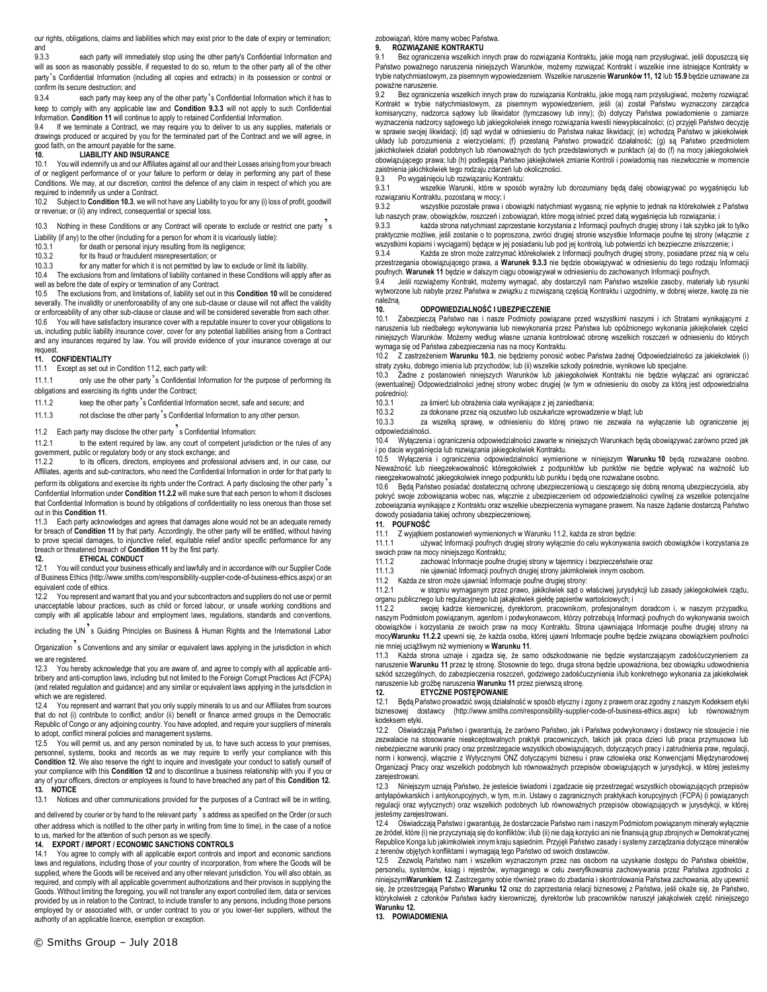our rights, obligations, claims and liabilities which may exist prior to the date of expiry or termination; and<br>9.3.3

each party will immediately stop using the other party's Confidential Information and will as soon as reasonably possible, if requested to do so, return to the other party all of the other party's Confidential Information (including all copies and extracts) in its possession or control or confirm its secure destruction; and

9.3.4 each party may keep any of the other party's Confidential Information which it has to keep to comply with any applicable law and **Condition 9.3.3** will not apply to such Confidential Information. **Condition 11** will continue to apply to retained Confidential Information.

9.4 If we terminate a Contract, we may require you to deliver to us any supplies, materials or drawings produced or acquired by you for the terminated part of the Contract and we will agree, in good faith, on the amount payable for the same.

### **10. LIABILITY AND INSURANCE**

You will indemnify us and our Affiliates against all our and their Losses arising from your breach of or negligent performance of or your failure to perform or delay in performing any part of these Conditions. We may, at our discretion, control the defence of any claim in respect of which you are required to indemnify us under a Contract.<br>10.2 Subject to **Condition 10.3**, we will a

10.2 Subject to **Condition 10.3**, we will not have any Liability to you for any (i) loss of profit, goodwill or revenue; or (ii) any indirect, consequential or special loss.

10.3 Nothing in these Conditions or any Contract will operate to exclude or restrict one party '<sup>s</sup>

Liability (if any) to the other (including for a person for whom it is vicariously liable):<br>10.3.1 for death or personal injury resulting from its negligence:

- for death or personal injury resulting from its negligence;
- 10.3.2 for its fraud or fraudulent misrepresentation; or

10.3.3 for any matter for which it is not permitted by law to exclude or limit its liability. 10.4 The exclusions from and limitations of liability contained in these Conditions will apply after as well as before the date of expiry or termination of any Contract.

10.5 The exclusions from, and limitations of, liability set out in this **Condition 10** will be considered severally. The invalidity or unenforceability of any one sub-clause or clause will not affect the validity or enforceability of any other sub-clause or clause and will be considered severable from each other. 10.6 You will have satisfactory insurance cover with a reputable insurer to cover your obligations to us, including public liability insurance cover, cover for any potential liabilities arising from a Contract and any insurances required by law. You will provide evidence of your insurance coverage at our request.

#### **11. CONFIDENTIALITY**

11.1 Except as set out in Condition 11.2, each party will:

11.1.1 only use the other party's Confidential Information for the purpose of performing its obligations and exercising its rights under the Contract;

11.1.2 keep the other party's Confidential Information secret, safe and secure; and

11.1.3 not disclose the other party's Confidential Information to any other person.

# 11.2 Each party may disclose the other party  $\frac{1}{2}$  s Confidential Information:<br>11.2.1 to the extent required by law, any court of competent iurisd

to the extent required by law, any court of competent jurisdiction or the rules of any government, public or regulatory body or any stock exchange; and<br>11.2.2 to its officers, directors, employees and profession

to its officers, directors, employees and professional advisers and, in our case, our Affiliates, agents and sub-contractors, who need the Confidential Information in order for that party to perform its obligations and exercise its rights under the Contract. A party disclosing the other party  $\delta$ Confidential Information under **Condition 11.2.2** will make sure that each person to whom it discloses that Confidential Information is bound by obligations of confidentiality no less onerous than those set out in this **Condition 11**.

11.3 Each party acknowledges and agrees that damages alone would not be an adequate remedy for breach of **Condition 11** by that party. Accordingly, the other party will be entitled, without having to prove special damages, to injunctive relief, equitable relief and/or specific performance for any breach or threatened breach of **Condition 11** by the first party.

#### **12. ETHICAL CONDUCT**

12.1 You will conduct your business ethically and lawfully and in accordance with our Supplier Code of Business Ethics (http://www.smiths.com/responsibility-supplier-code-of-business-ethics.aspx) or an equivalent code of ethics.

12.2 You represent and warrant that you and your subcontractors and suppliers do not use or permit unacceptable labour practices, such as child or forced labour, or unsafe working conditions and comply with all applicable labour and employment laws, regulations, standards and conventions,

including the UN's Guiding Principles on Business & Human Rights and the International Labor

Organization s Conventions and any similar or equivalent laws applying in the jurisdiction in which we are registered.

12.3 You hereby acknowledge that you are aware of, and agree to comply with all applicable antibribery and anti-corruption laws, including but not limited to the Foreign Corrupt Practices Act (FCPA) (and related regulation and guidance) and any similar or equivalent laws applying in the jurisdiction in which we are registered.

12.4 You represent and warrant that you only supply minerals to us and our Affiliates from sources that do not (i) contribute to conflict; and/or (ii) benefit or finance armed groups in the Democratic Republic of Congo or any adjoining country. You have adopted, and require your suppliers of minerals to adopt, conflict mineral policies and management systems.

12.5 You will permit us, and any person nominated by us, to have such access to your premises, personnel, systems, books and records as we may require to verify your compliance with this **Condition 12.** We also reserve the right to inquire and investigate your conduct to satisfy ourself of your compliance with this **Condition 12** and to discontinue a business relationship with you if you or any of your officers, directors or employees is found to have breached any part of this **Condition 12. 13. NOTICE**

13.1 Notices and other communications provided for the purposes of a Contract will be in writing,

and delivered by courier or by hand to the relevant party's address as specified on the Order (or such other address which is notified to the other party in writing from time to time), in the case of a notice to us, marked for the attention of such person as we specify.

### **14. EXPORT / IMPORT / ECONOMIC SANCTIONS CONTROLS**

14.1 You agree to comply with all applicable export controls and import and economic sanctions laws and regulations, including those of your country of incorporation, from where the Goods will be supplied, where the Goods will be received and any other relevant jurisdiction. You will also obtain, as required, and comply with all applicable government authorizations and their provisos in supplying the Goods. Without limiting the foregoing, you will not transfer any export controlled item, data or services provided by us in relation to the Contract, to include transfer to any persons, including those persons employed by or associated with, or under contract to you or you lower-tier suppliers, without the authority of an applicable licence, exemption or exception.

9.1 Bez ograniczenia wszelkich innych praw do rozwiązania Kontraktu, jakie mogą nam przysługiwać, jeśli dopuszczą się Państwo poważnego naruszenia niniejszych Warunków, możemy rozwiązać Kontrakt i wszelkie inne istniejące Kontrakty w trybie natychmiastowym, za pisemnym wypowiedzeniem. Wszelkie naruszenie **Warunków 11, 12** lub **15.9** będzie uznawane za poważne naruszenie.

9.2 Bez ograniczenia wszelkich innych praw do rozwiązania Kontraktu, jakie mogą nam przysługiwać, możemy rozwiązać Kontrakt w trybie natychmiastowym, za pisemnym wypowiedzeniem, jeśli (a) został Państwu wyznaczony zarządca komisaryczny, nadzorca sądowy lub likwidator (tymczasowy lub inny); (b) dotyczy Państwa powiadomienie o zamiarze<br>wyznaczenia nadzorcy sądowego lub jakiegokolwiek innego rozwiązania kwestii niewypłacalności; (c) przyjęli Pa w sprawie swojej likwidacji; (d) sąd wydał w odniesieniu do Państwa nakaz likwidacji; (e) wchodzą Państwo w jakiekolwiek układy lub porozumienia z wierzycielami; (f) przestaną Państwo prowadzić działalność; (g) są Państwo przedmiotem jakichkolwiek działań podobnych lub równoważnych do tych przedstawionych w punktach (a) do (f) na mocy jakiegokolwiek obowiązującego prawa; lub (h) podlegają Państwo jakiejkolwiek zmianie Kontroli i powiadomią nas niezwłocznie w momencie<br>zaistnienia jakichkolwiek tego rodzaju zdarzeń lub okoliczności.

9.3 Po wygaśnięciu lub rozwiązaniu Kontraktu:

9.3.1 wszelkie Warunki, które w sposób wyraźny lub dorozumiany będą dalej obowiązywać po wygaśnięciu lub rozwiązaniu Kontraktu, pozostaną w mocy; i

9.3.2 wszystkie pozostałe prawa i obowiązki natychmiast wygasną; nie wpłynie to jednak na którekolwiek z Państwa lub naszych praw, obowiązków, roszczeń i zobowiązań, które mogą istnieć przed datą wygaśnięcia lub rozwiązania; i

9.3.3 każda strona natychmiast zaprzestanie korzystania z Informacji poufnych drugiej strony i tak szybko jak to tylko praktycznie możliwe, jeśli zostanie o to poproszona, zwróci drugiej stronie wszystkie Informacje poufne tej strony (włącznie z wszystkimi kopiami i wyciągami) będące w jej posiadaniu lub pod jej kontrolą, lub potwierdzi ich bezpieczne zniszczenie; i<br>9.3.4 Każda ze stron może zatrzymać którekolwiek z Informacji poufnych drugiej strony, posiadane pr

Każda ze stron może zatrzymać którekolwiek z Informacji poufnych drugiej strony, posiadane przez nią w celu przestrzegania obowiązującego prawa, a **Warunek 9.3.3** nie będzie obowiązywać w odniesieniu do tego rodzaju Informacji poufnych. **Warunek 11** będzie w dalszym ciągu obowiązywał w odniesieniu do zachowanych Informacji poufnych.<br>9 4. beśli rozwiążemy Kontrakt, możemy wymagąć, aby dostarczyli nam Państwo wszelkie zasoby, materiał

9.4 Jeśli rozwiążemy Kontrakt, możemy wymagać, aby dostarczyli nam Państwo wszelkie zasoby, materiały lub rysunki wytworzone lub nabyte przez Państwa w związku z rozwiązaną częścią Kontraktu i uzgodnimy, w dobrej wierze, kwotę za nie należną.

### **10. ODPOWIEDZIALNOŚĆ I UBEZPIECZENIE**

10.1 Zabezpieczą Państwo nas i nasze Podmioty powiązane przed wszystkimi naszymi i ich Stratami wynikającymi z naruszenia lub niedbałego wykonywania lub niewykonania przez Państwa lub opóźnionego wykonania jakiejkolwiek części niniejszych Warunków. Możemy według własne uznania kontrolować obronę wszelkich roszczeń w odniesieniu do których wymaga się od Państwa zabezpieczenia nas na mocy Kontraktu.

10.2 Z zastrzeżeniem **Warunku 10.3**, nie będziemy ponosić wobec Państwa żadnej Odpowiedzialności za jakiekolwiek (i) straty zysku, dobrego imienia lub przychodów; lub (ii) wszelkie szkody pośrednie, wynikowe lub specjalne.

10.3 Żadne z postanowień niniejszych Warunków lub jakiegokolwiek Kontraktu nie będzie wyłączać ani ograniczać (ewentualnej) Odpowiedzialności jednej strony wobec drugiej (w tym w odniesieniu do osoby za którą jest odpowiedzialna pośrednio):<br>10.3.1

10.3.1 za śmierć lub obrażenia ciała wynikające z jej zaniedbania;

za dokonane przez nią oszustwo lub oszukańcze wprowadzenie w błąd; lub

10.3.3 za wszelką sprawę, w odniesieniu do której prawo nie zezwala na wyłączenie lub ograniczenie jej odpowiedzialności.

10.4 Wyłączenia i ograniczenia odpowiedzialności zawarte w niniejszych Warunkach będą obowiązywać zarówno przed jak i po dacie wygaśnięcia lub rozwiązania jakiegokolwiek Kontraktu.

10.5 Wyłączenia i ograniczenia odpowiedzialności wymienione w niniejszym **Warunku 10** będą rozważane osobno. Nieważność lub nieegzekwowalność któregokolwiek z podpunktów lub punktów nie będzie wpływać na ważność lub nieegzekwowalność jakiegokolwiek innego podpunktu lub punktu i będą one rozważane osobno.<br>10.6 – Beda Państwo posiadać dostateczna ochrone ubezpieczeniowa u cieszacego się dobra.

10.6 Będą Państwo posiadać dostateczną ochronę ubezpieczeniową u cieszącego się dobrą renomą ubezpieczyciela, aby pokryć swoje zobowiązania wobec nas, włącznie z ubezpieczeniem od odpowiedzialności cywilnej za wszelkie potencjalne zobowiązania wynikające z Kontraktu oraz wszelkie ubezpieczenia wymagane prawem. Na nasze żądanie dostarczą Państwo dowody posiadania takiej ochrony ubezpieczeniowej.

# **11. POUFNOŚĆ**

11.1 Z wyjątkiem postanowień wymienionych w Warunku 11.2, każda ze stron będzie:

11.1.1 używać Informacji poufnych drugiej strony wyłącznie do celu wykonywania swoich obowiązków i korzystania ze<br>swoich praw na mocy niniejszego Kontraktu; na mocy niniejszego Kontraktu;

11.1.2 zachować Informacje poufne drugiej strony w tajemnicy i bezpieczeństwie oraz<br>11.1.3 ie ujawniać Informacji poufnych drugiej strony jakimkolwiek innym osobom.

nie ujawniać Informacji poufnych drugiej strony jakimkolwiek innym osobom.

11.2 Każda ze stron może ujawniać Informacje poufne drugiej strony:

11.2.1 w stopniu wymaganym przez prawo, jakikolwiek sąd o właściwej jurysdykcji lub zasady jakiegokolwiek rządu, organu publicznego lub regulacyjnego lub jakąkolwiek giełdę papierów wartościowych; i

swojej kadrze kierowniczej, dyrektorom, pracownikom, profesjonalnym doradcom i, w naszym przypadku, naszym Podmiotom powiązanym, agentom i podwykonawcom, którzy potrzebują Informacji poufnych do wykonywania swoich obowiązków i korzystania ze swoich praw na mocy Kontraktu. Strona ujawniająca Informacje poufne drugiej strony na mocy**Warunku 11.2.2** upewni się, że każda osoba, której ujawni Informacje poufne będzie związana obowiązkiem poufności nie mniej uciążliwym niż wymieniony w **Warunku 11**.

11.3 Każda strona uznaje i zgadza się, że samo odszkodowanie nie będzie wystarczającym zadośćuczynieniem za naruszenie **Warunku 11** przez tę stronę. Stosownie do tego, druga strona będzie upoważniona, bez obowiązku udowodnienia szkód szczególnych, do zabezpieczenia roszczeń, godziwego zadośćuczynienia i/lub konkretnego wykonania za jakiekolwiek naruszenie lub groźbę naruszenia **Warunku 11** przez pierwszą stronę.

### **12. ETYCZNE POSTĘPOWANIE**

12.1 Będą Państwo prowadzić swoją działalność w sposób etyczny i zgony z prawem oraz zgodny z naszym Kodeksem etyki biznesowej dostawcy (http://www.smiths.com/responsibility-supplier-code-of-business-ethics.aspx) lub równoważnym kodeksem etyki.

12.2 Oświadczają Państwo i gwarantują, że zarówno Państwo, jak i Państwa podwykonawcy i dostawcy nie stosujecie i nie zezwalacie na stosowanie nieakceptowalnych praktyk pracowniczych, takich jak praca dzieci lub praca przymusowa lub niebezpieczne warunki pracy oraz przestrzegacie wszystkich obowiązujących, dotyczących pracy i zatrudnienia praw, regulacji, norm i konwencji, włącznie z Wytycznymi ONZ dotyczącymi biznesu i praw człowieka oraz Konwencjami Międzynarodowej Organizacji Pracy oraz wszelkich podobnych lub równoważnych przepisów obowiązujących w jurysdykcji, w której jesteśmy zarejestrowani.

12.3 Niniejszym uznają Państwo, że jesteście świadomi i zgadzacie się przestrzegać wszystkich obowiązujących przepisów antyłapówkarskich i antykorupcyjnych, w tym, m.in. Ustawy o zagranicznych praktykach korupcyjnych (FCPA) (i powiązanych regulacji oraz wytycznych) oraz wszelkich podobnych lub równoważnych przepisów obowiązujących w jurysdykcji, w której jesteśmy zarejestrowani.

12.4 Oświadczają Państwo i gwarantują, że dostarczacie Państwo nam i naszym Podmiotom powiązanym minerały wyłącznie ze źródeł, które (i) nie przyczyniają się do konfliktów; i/lub (ii) nie dają korzyści ani nie finansują grup zbrojnych w Demokratycznej Republice Konga lub jakimkolwiek innym kraju sąsiednim. Przyjęli Państwo zasady i systemy zarządzania dotyczące minerałów z terenów objętych konfliktami i wymagają tego Państwo od swoich dostawców.

12.5 Zezwolą Państwo nam i wszelkim wyznaczonym przez nas osobom na uzyskanie dostępu do Państwa obiektów, personelu, systemów, ksiąg i rejestrów, wymaganego w celu zweryfikowania zachowywania przez Państwa zgodności z niniejszym**Warunkiem 12**. Zastrzegamy sobie również prawo do zbadania i skontrolowania Państwa zachowania, aby upewnić się, że przestrzegają Państwo **Warunku 12** oraz do zaprzestania relacji biznesowej z Państwa, jeśli okaże się, że Państwo, którykolwiek z członków Państwa kadry kierowniczej, dyrektorów lub pracowników naruszył jakąkolwiek część niniejszego **Warunku 12.** 

**13. POWIADOMIENIA**